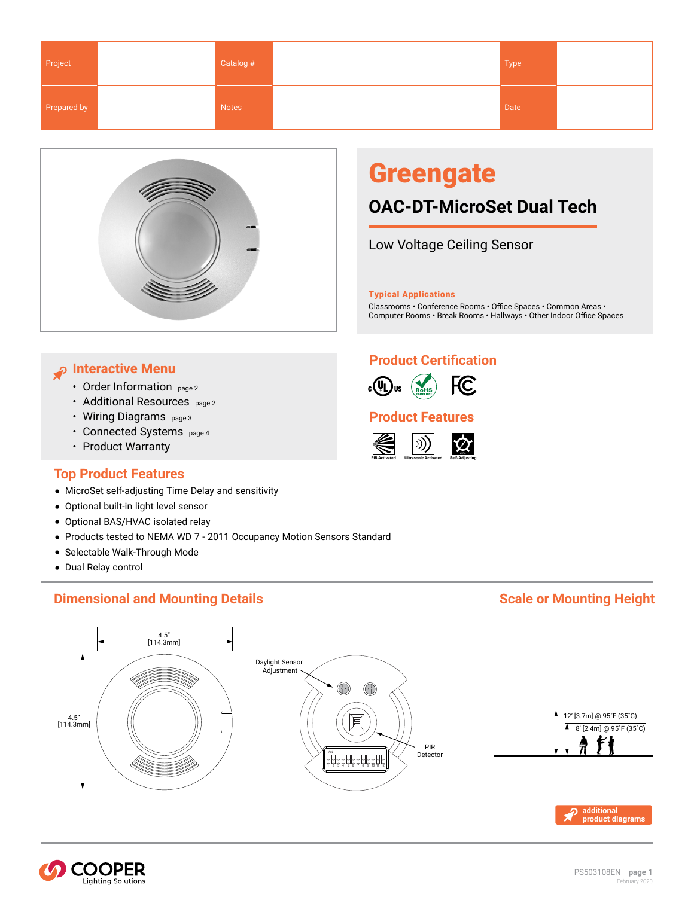<span id="page-0-0"></span>

| Project     | Catalog # | Type |  |
|-------------|-----------|------|--|
| Prepared by | Notes     | Date |  |



# **Greengate**

## **OAC-DT-MicroSet Dual Tech**

Low Voltage Ceiling Sensor

Typical Applications

Classrooms • Conference Rooms • Office Spaces • Common Areas • Computer Rooms • Break Rooms • Hallways • Other Indoor Office Spaces

### **Interactive Menu**

- [Order Information](#page-1-0) page 2
- [Additional Resources](#page-1-0) page 2
- [Wiring Diagrams](#page-2-0) page 3
- [Connected Systems page 4](#page-3-0)
- [Product Warranty](http://www.cooperindustries.com/content/dam/public/lighting/about%20us/terms_and_conditions/Lighting-Division-TC-Matrix.pdf)

### **Top Product Features**

- MicroSet self-adjusting Time Delay and sensitivity
- Optional built-in light level sensor
- Optional BAS/HVAC isolated relay
- Products tested to NEMA WD 7 2011 Occupancy Motion Sensors Standard
- Selectable Walk-Through Mode
- Dual Relay control

### **Dimensional and Mounting Details Scale or Mounting Height Scale or Mounting Height Scale 3 and Mounting Height**

### **Product Certification**



### **Product Features**







**additional [product diagrams](#page-2-0)**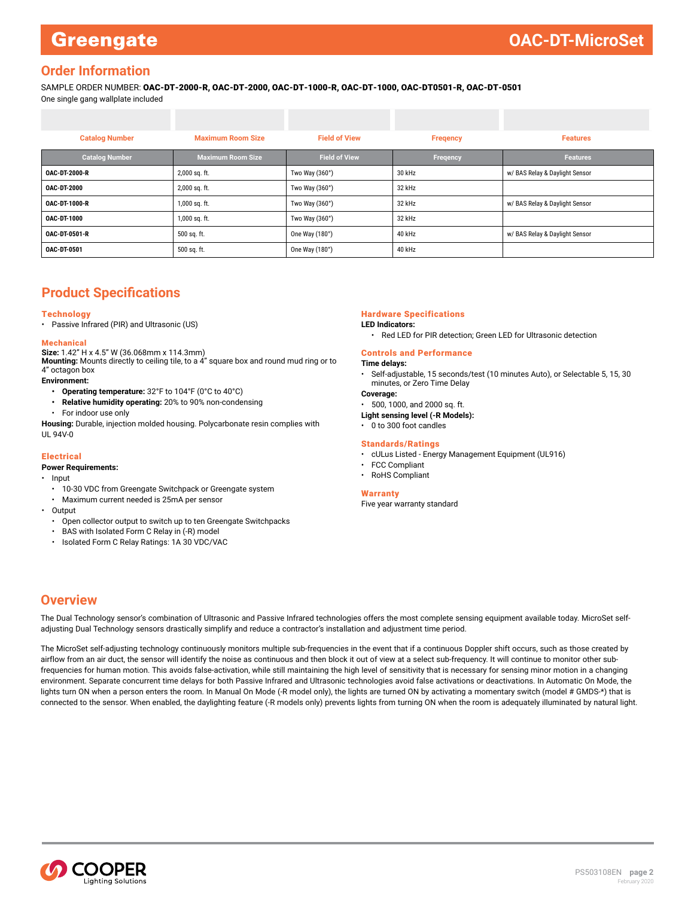### <span id="page-1-0"></span>**Greengate**

### **Order Information**

SAMPLE ORDER NUMBER: OAC-DT-2000-R, OAC-DT-2000, OAC-DT-1000-R, OAC-DT-1000, OAC-DT0501-R, OAC-DT-0501 One single gang wallplate included

| <b>Catalog Number</b> | <b>Maximum Room Size</b> | <b>Field of View</b> | <b>Fregency</b> | <b>Features</b>                |  |  |  |
|-----------------------|--------------------------|----------------------|-----------------|--------------------------------|--|--|--|
| <b>Catalog Number</b> | <b>Maximum Room Size</b> | <b>Field of View</b> | Freqency        | <b>Features</b>                |  |  |  |
| <b>OAC-DT-2000-R</b>  | 2,000 sq. ft.            | Two Way (360°)       | 30 kHz          | w/ BAS Relay & Daylight Sensor |  |  |  |
| <b>OAC-DT-2000</b>    | 2,000 sq. ft.            | Two Way (360°)       | 32 kHz          |                                |  |  |  |
| OAC-DT-1000-R         | $1,000$ sq. ft.          | Two Way (360°)       | 32 kHz          | w/ BAS Relay & Daylight Sensor |  |  |  |
| <b>OAC-DT-1000</b>    | 1,000 sq. ft.            | Two Way (360°)       | 32 kHz          |                                |  |  |  |
| <b>OAC-DT-0501-R</b>  | 500 sq. ft.              | One Way (180°)       | 40 kHz          | w/ BAS Relay & Daylight Sensor |  |  |  |
| <b>OAC-DT-0501</b>    | 500 sq. ft.              | One Way (180°)       | 40 kHz          |                                |  |  |  |

### **Product Specifications**

#### **Technology**

• Passive Infrared (PIR) and Ultrasonic (US)

#### Mechanical

**Size:** 1.42" H x 4.5" W (36.068mm x 114.3mm) **Mounting:** Mounts directly to ceiling tile, to a 4" square box and round mud ring or to 4" octagon box

**Environment:** 

- **• Operating temperature:** 32°F to 104°F (0°C to 40°C)
- **• Relative humidity operating:** 20% to 90% non-condensing
- For indoor use only

**Housing:** Durable, injection molded housing. Polycarbonate resin complies with UL 94V-0

#### Electrical

#### **Power Requirements:**

- Input
- 10-30 VDC from Greengate Switchpack or Greengate system
- Maximum current needed is 25mA per sensor
- Output
	- Open collector output to switch up to ten Greengate Switchpacks
	- BAS with Isolated Form C Relay in (-R) model
	- Isolated Form C Relay Ratings: 1A 30 VDC/VAC

#### Hardware Specifications

#### **LED Indicators:**

• Red LED for PIR detection; Green LED for Ultrasonic detection

#### Controls and Performance

#### **Time delays:**

• Self-adjustable, 15 seconds/test (10 minutes Auto), or Selectable 5, 15, 30 minutes, or Zero Time Delay

#### **Coverage:**

• 500, 1000, and 2000 sq. ft.

**Light sensing level (-R Models):**

• 0 to 300 foot candles

#### Standards/Ratings

- cULus Listed Energy Management Equipment (UL916)
- FCC Compliant
- RoHS Compliant

#### [Warranty](http://www.cooperindustries.com/content/dam/public/lighting/about%20us/terms_and_conditions/Lighting-Division-TC-Matrix.pdf)

Five year warranty standard

### **Overview**

The Dual Technology sensor's combination of Ultrasonic and Passive Infrared technologies offers the most complete sensing equipment available today. MicroSet selfadjusting Dual Technology sensors drastically simplify and reduce a contractor's installation and adjustment time period.

The MicroSet self-adjusting technology continuously monitors multiple sub-frequencies in the event that if a continuous Doppler shift occurs, such as those created by airflow from an air duct, the sensor will identify the noise as continuous and then block it out of view at a select sub-frequency. It will continue to monitor other subfrequencies for human motion. This avoids false-activation, while still maintaining the high level of sensitivity that is necessary for sensing minor motion in a changing environment. Separate concurrent time delays for both Passive Infrared and Ultrasonic technologies avoid false activations or deactivations. In Automatic On Mode, the lights turn ON when a person enters the room. In Manual On Mode (-R model only), the lights are turned ON by activating a momentary switch (model # GMDS-\*) that is connected to the sensor. When enabled, the daylighting feature (-R models only) prevents lights from turning ON when the room is adequately illuminated by natural light.

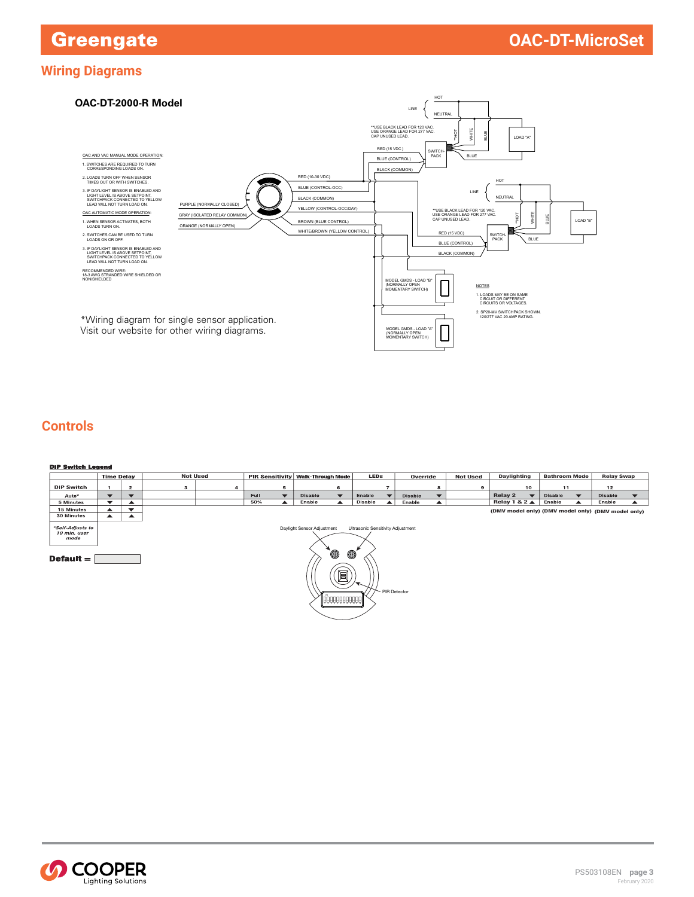### <span id="page-2-0"></span>**Wiring Diagrams**



### **Controls**

| <b>DIP Switch Legend</b>                                |                                                                                                                            |                          |                                                    |                 |             |                      |                |                                     |         |                |         |          |   |                                       |    |                      |                      |                   |  |
|---------------------------------------------------------|----------------------------------------------------------------------------------------------------------------------------|--------------------------|----------------------------------------------------|-----------------|-------------|----------------------|----------------|-------------------------------------|---------|----------------|---------|----------|---|---------------------------------------|----|----------------------|----------------------|-------------------|--|
|                                                         | <b>Time Delay</b>                                                                                                          |                          |                                                    | <b>Not Used</b> |             |                      |                | PIR Sensitivity   Walk-Through Mode |         | <b>LEDs</b>    |         | Override |   | <b>Not Used</b><br><b>Daylighting</b> |    | <b>Bathroom Mode</b> |                      | <b>Relay Swap</b> |  |
| DIP Switch                                              |                                                                                                                            | $\overline{2}$           | 3                                                  | 4               |             | 5                    |                | 6                                   |         | $\overline{7}$ |         | 8        | 9 |                                       | 10 | 11                   |                      | 12                |  |
| Auto*                                                   | $\blacktriangledown$                                                                                                       | $\overline{\phantom{a}}$ |                                                    |                 | <b>Full</b> | $\blacktriangledown$ | <b>Disable</b> | $\blacktriangledown$                | Enable  |                | Disable |          |   | Relay 2                               |    | Disable              | $\blacktriangledown$ | <b>Disable</b>    |  |
| 5 Minutes                                               | $\blacktriangledown$                                                                                                       |                          |                                                    |                 | 50%         | $\blacktriangle$     | Enable         | ▲                                   | Disable | ▲              | Enable  |          |   | Relay 1 & 2 $\triangle$               |    | Enable               |                      | Enable            |  |
| 15 Minutes                                              |                                                                                                                            | $\blacktriangledown$     | (DMV model only) (DMV model only) (DMV model only) |                 |             |                      |                |                                     |         |                |         |          |   |                                       |    |                      |                      |                   |  |
| 30 Minutes                                              | ▲                                                                                                                          | ▴                        |                                                    |                 |             |                      |                |                                     |         |                |         |          |   |                                       |    |                      |                      |                   |  |
| *Self-Adjusts to<br>10 min. user<br>mode<br>Default $=$ | Daylight Sensor Adjustment<br>Ultrasonic Sensitivity Adjustment<br>Ó<br>$^\circledR$<br>è<br>PIR Detector<br>  UUUUUUUUUUU |                          |                                                    |                 |             |                      |                |                                     |         |                |         |          |   |                                       |    |                      |                      |                   |  |